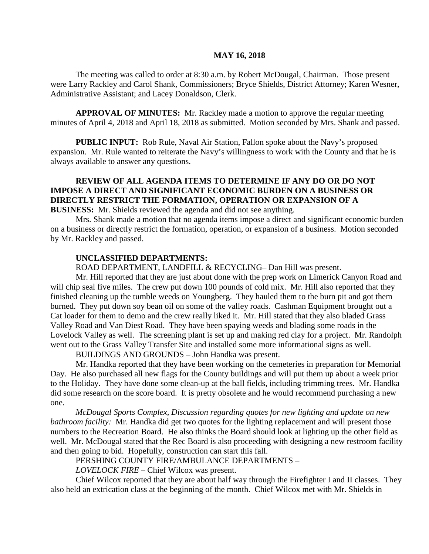#### **MAY 16, 2018**

The meeting was called to order at 8:30 a.m. by Robert McDougal, Chairman. Those present were Larry Rackley and Carol Shank, Commissioners; Bryce Shields, District Attorney; Karen Wesner, Administrative Assistant; and Lacey Donaldson, Clerk.

**APPROVAL OF MINUTES:** Mr. Rackley made a motion to approve the regular meeting minutes of April 4, 2018 and April 18, 2018 as submitted. Motion seconded by Mrs. Shank and passed.

**PUBLIC INPUT:** Rob Rule, Naval Air Station, Fallon spoke about the Navy's proposed expansion. Mr. Rule wanted to reiterate the Navy's willingness to work with the County and that he is always available to answer any questions.

## **REVIEW OF ALL AGENDA ITEMS TO DETERMINE IF ANY DO OR DO NOT IMPOSE A DIRECT AND SIGNIFICANT ECONOMIC BURDEN ON A BUSINESS OR DIRECTLY RESTRICT THE FORMATION, OPERATION OR EXPANSION OF A BUSINESS:** Mr. Shields reviewed the agenda and did not see anything.

Mrs. Shank made a motion that no agenda items impose a direct and significant economic burden on a business or directly restrict the formation, operation, or expansion of a business. Motion seconded by Mr. Rackley and passed.

#### **UNCLASSIFIED DEPARTMENTS:**

ROAD DEPARTMENT, LANDFILL & RECYCLING– Dan Hill was present.

Mr. Hill reported that they are just about done with the prep work on Limerick Canyon Road and will chip seal five miles. The crew put down 100 pounds of cold mix. Mr. Hill also reported that they finished cleaning up the tumble weeds on Youngberg. They hauled them to the burn pit and got them burned. They put down soy bean oil on some of the valley roads. Cashman Equipment brought out a Cat loader for them to demo and the crew really liked it. Mr. Hill stated that they also bladed Grass Valley Road and Van Diest Road. They have been spaying weeds and blading some roads in the Lovelock Valley as well. The screening plant is set up and making red clay for a project. Mr. Randolph went out to the Grass Valley Transfer Site and installed some more informational signs as well.

BUILDINGS AND GROUNDS – John Handka was present.

Mr. Handka reported that they have been working on the cemeteries in preparation for Memorial Day. He also purchased all new flags for the County buildings and will put them up about a week prior to the Holiday. They have done some clean-up at the ball fields, including trimming trees. Mr. Handka did some research on the score board. It is pretty obsolete and he would recommend purchasing a new one.

*McDougal Sports Complex, Discussion regarding quotes for new lighting and update on new bathroom facility:* Mr. Handka did get two quotes for the lighting replacement and will present those numbers to the Recreation Board. He also thinks the Board should look at lighting up the other field as well. Mr. McDougal stated that the Rec Board is also proceeding with designing a new restroom facility and then going to bid. Hopefully, construction can start this fall.

PERSHING COUNTY FIRE/AMBULANCE DEPARTMENTS –

*LOVELOCK FIRE –* Chief Wilcox was present.

Chief Wilcox reported that they are about half way through the Firefighter I and II classes. They also held an extrication class at the beginning of the month. Chief Wilcox met with Mr. Shields in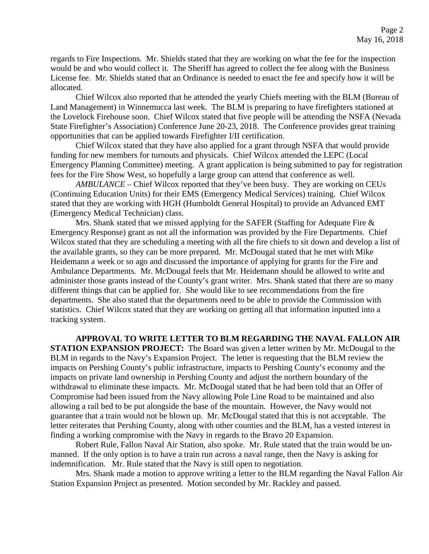regards to Fire Inspections. Mr. Shields stated that they are working on what the fee for the inspection would be and who would collect it. The Sheriff has agreed to collect the fee along with the Business License fee. Mr. Shields stated that an Ordinance is needed to enact the fee and specify how it will be allocated.

Chief Wilcox also reported that he attended the yearly Chiefs meeting with the BLM (Bureau of Land Management) in Winnemucca last week. The BLM is preparing to have firefighters stationed at the Lovelock Firehouse soon. Chief Wilcox stated that five people will be attending the NSFA (Nevada State Firefighter's Association) Conference June 20-23, 2018. The Conference provides great training opportunities that can be applied towards Firefighter I/II certification.

Chief Wilcox stated that they have also applied for a grant through NSFA that would provide funding for new members for turnouts and physicals. Chief Wilcox attended the LEPC (Local Emergency Planning Committee) meeting. A grant application is being submitted to pay for registration fees for the Fire Show West, so hopefully a large group can attend that conference as well.

*AMBULANCE –* Chief Wilcox reported that they've been busy. They are working on CEUs (Continuing Education Units) for their EMS (Emergency Medical Services) training. Chief Wilcox stated that they are working with HGH (Humboldt General Hospital) to provide an Advanced EMT (Emergency Medical Technician) class.

Mrs. Shank stated that we missed applying for the SAFER (Staffing for Adequate Fire  $\&$ Emergency Response) grant as not all the information was provided by the Fire Departments. Chief Wilcox stated that they are scheduling a meeting with all the fire chiefs to sit down and develop a list of the available grants, so they can be more prepared. Mr. McDougal stated that he met with Mike Heidemann a week or so ago and discussed the importance of applying for grants for the Fire and Ambulance Departments. Mr. McDougal feels that Mr. Heidemann should be allowed to write and administer those grants instead of the County's grant writer. Mrs. Shank stated that there are so many different things that can be applied for. She would like to see recommendations from the fire departments. She also stated that the departments need to be able to provide the Commission with statistics. Chief Wilcox stated that they are working on getting all that information inputted into a tracking system.

**APPROVAL TO WRITE LETTER TO BLM REGARDING THE NAVAL FALLON AIR STATION EXPANSION PROJECT:** The Board was given a letter written by Mr. McDougal to the BLM in regards to the Navy's Expansion Project. The letter is requesting that the BLM review the impacts on Pershing County's public infrastructure, impacts to Pershing County's economy and the impacts on private land ownership in Pershing County and adjust the northern boundary of the withdrawal to eliminate these impacts. Mr. McDougal stated that he had been told that an Offer of Compromise had been issued from the Navy allowing Pole Line Road to be maintained and also allowing a rail bed to be put alongside the base of the mountain. However, the Navy would not guarantee that a train would not be blown up. Mr. McDougal stated that this is not acceptable. The letter reiterates that Pershing County, along with other counties and the BLM, has a vested interest in finding a working compromise with the Navy in regards to the Bravo 20 Expansion.

Robert Rule, Fallon Naval Air Station, also spoke. Mr. Rule stated that the train would be unmanned. If the only option is to have a train run across a naval range, then the Navy is asking for indemnification. Mr. Rule stated that the Navy is still open to negotiation.

Mrs. Shank made a motion to approve writing a letter to the BLM regarding the Naval Fallon Air Station Expansion Project as presented. Motion seconded by Mr. Rackley and passed.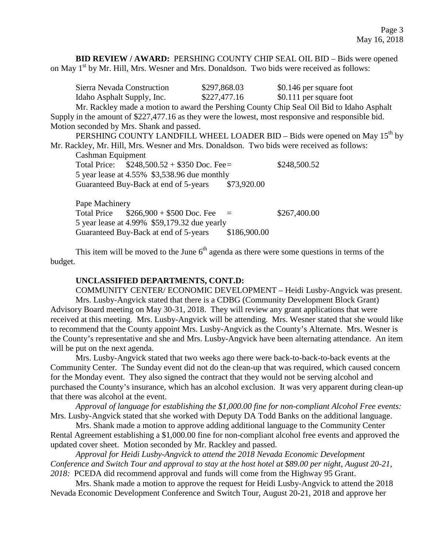**BID REVIEW / AWARD:** PERSHING COUNTY CHIP SEAL OIL BID - Bids were opened on May 1<sup>st</sup> by Mr. Hill, Mrs. Wesner and Mrs. Donaldson. Two bids were received as follows:

|                                                                                                     | Sierra Nevada Construction                                                                | \$297,868.03 | \$0.146 per square foot |  |
|-----------------------------------------------------------------------------------------------------|-------------------------------------------------------------------------------------------|--------------|-------------------------|--|
|                                                                                                     | Idaho Asphalt Supply, Inc.                                                                | \$227,477.16 | \$0.111 per square foot |  |
|                                                                                                     | Mr. Rackley made a motion to award the Pershing County Chip Seal Oil Bid to Idaho Asphalt |              |                         |  |
| Supply in the amount of $$227,477.16$ as they were the lowest, most responsive and responsible bid. |                                                                                           |              |                         |  |
| Motion seconded by Mrs. Shank and passed.                                                           |                                                                                           |              |                         |  |
|                                                                                                     | PERSHING COUNTY LANDFILL WHEEL LOADER BID – Bids were opened on May $15th$ by             |              |                         |  |
| Mr. Rackley, Mr. Hill, Mrs. Wesner and Mrs. Donaldson. Two bids were received as follows:           |                                                                                           |              |                         |  |
|                                                                                                     | Cashman Equipment                                                                         |              |                         |  |
|                                                                                                     | Total Price: $$248,500.52 + $350$ Doc. Fee=                                               |              | \$248,500.52            |  |
|                                                                                                     | 5 year lease at 4.55% \$3,538.96 due monthly                                              |              |                         |  |
|                                                                                                     | Guaranteed Buy-Back at end of 5-years                                                     | \$73,920.00  |                         |  |
|                                                                                                     | Pape Machinery                                                                            |              |                         |  |
|                                                                                                     | Total Price $$266,900 + $500$ Doc. Fee =                                                  |              | \$267,400.00            |  |
|                                                                                                     | 5 year lease at $\Lambda$ 00% $$50,170,32$ due yearly                                     |              |                         |  |

5 year lease at 4.99% \$59,179.32 due yearly<br>Guaranteed Buv-Back at end of 5-years \$186,900.00 Guaranteed Buy-Back at end of 5-years

This item will be moved to the June  $6<sup>th</sup>$  agenda as there were some questions in terms of the budget.

#### **UNCLASSIFIED DEPARTMENTS, CONT.D:**

COMMUNITY CENTER/ ECONOMIC DEVELOPMENT – Heidi Lusby-Angvick was present. Mrs. Lusby-Angvick stated that there is a CDBG (Community Development Block Grant) Advisory Board meeting on May 30-31, 2018. They will review any grant applications that were received at this meeting. Mrs. Lusby-Angvick will be attending. Mrs. Wesner stated that she would like to recommend that the County appoint Mrs. Lusby-Angvick as the County's Alternate. Mrs. Wesner is the County's representative and she and Mrs. Lusby-Angvick have been alternating attendance. An item will be put on the next agenda.

Mrs. Lusby-Angvick stated that two weeks ago there were back-to-back-to-back events at the Community Center. The Sunday event did not do the clean-up that was required, which caused concern for the Monday event. They also signed the contract that they would not be serving alcohol and purchased the County's insurance, which has an alcohol exclusion. It was very apparent during clean-up that there was alcohol at the event.

*Approval of language for establishing the \$1,000.00 fine for non-compliant Alcohol Free events:*  Mrs. Lusby-Angvick stated that she worked with Deputy DA Todd Banks on the additional language.

Mrs. Shank made a motion to approve adding additional language to the Community Center Rental Agreement establishing a \$1,000.00 fine for non-compliant alcohol free events and approved the updated cover sheet. Motion seconded by Mr. Rackley and passed.

*Approval for Heidi Lusby-Angvick to attend the 2018 Nevada Economic Development Conference and Switch Tour and approval to stay at the host hotel at \$89.00 per night, August 20-21, 2018:* PCEDA did recommend approval and funds will come from the Highway 95 Grant.

Mrs. Shank made a motion to approve the request for Heidi Lusby-Angvick to attend the 2018 Nevada Economic Development Conference and Switch Tour, August 20-21, 2018 and approve her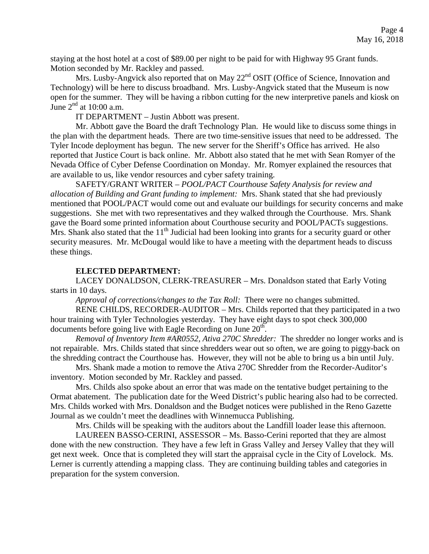staying at the host hotel at a cost of \$89.00 per night to be paid for with Highway 95 Grant funds. Motion seconded by Mr. Rackley and passed.

Mrs. Lusby-Angvick also reported that on May 22<sup>nd</sup> OSIT (Office of Science, Innovation and Technology) will be here to discuss broadband. Mrs. Lusby-Angvick stated that the Museum is now open for the summer. They will be having a ribbon cutting for the new interpretive panels and kiosk on June  $2<sup>nd</sup>$  at 10:00 a.m.

IT DEPARTMENT – Justin Abbott was present.

Mr. Abbott gave the Board the draft Technology Plan. He would like to discuss some things in the plan with the department heads. There are two time-sensitive issues that need to be addressed. The Tyler Incode deployment has begun. The new server for the Sheriff's Office has arrived. He also reported that Justice Court is back online. Mr. Abbott also stated that he met with Sean Romyer of the Nevada Office of Cyber Defense Coordination on Monday. Mr. Romyer explained the resources that are available to us, like vendor resources and cyber safety training.

SAFETY/GRANT WRITER – *POOL/PACT Courthouse Safety Analysis for review and allocation of Building and Grant funding to implement:* Mrs. Shank stated that she had previously mentioned that POOL/PACT would come out and evaluate our buildings for security concerns and make suggestions. She met with two representatives and they walked through the Courthouse. Mrs. Shank gave the Board some printed information about Courthouse security and POOL/PACTs suggestions. Mrs. Shank also stated that the  $11<sup>th</sup>$  Judicial had been looking into grants for a security guard or other security measures. Mr. McDougal would like to have a meeting with the department heads to discuss these things.

# **ELECTED DEPARTMENT:**

LACEY DONALDSON, CLERK-TREASURER – Mrs. Donaldson stated that Early Voting starts in 10 days.

*Approval of corrections/changes to the Tax Roll:* There were no changes submitted.

RENE CHILDS, RECORDER-AUDITOR – Mrs. Childs reported that they participated in a two hour training with Tyler Technologies yesterday. They have eight days to spot check 300,000 documents before going live with Eagle Recording on June  $20<sup>th</sup>$ .

*Removal of Inventory Item #AR0552, Ativa 270C Shredder:* The shredder no longer works and is not repairable. Mrs. Childs stated that since shredders wear out so often, we are going to piggy-back on the shredding contract the Courthouse has. However, they will not be able to bring us a bin until July.

Mrs. Shank made a motion to remove the Ativa 270C Shredder from the Recorder-Auditor's inventory. Motion seconded by Mr. Rackley and passed.

Mrs. Childs also spoke about an error that was made on the tentative budget pertaining to the Ormat abatement. The publication date for the Weed District's public hearing also had to be corrected. Mrs. Childs worked with Mrs. Donaldson and the Budget notices were published in the Reno Gazette Journal as we couldn't meet the deadlines with Winnemucca Publishing.

 Mrs. Childs will be speaking with the auditors about the Landfill loader lease this afternoon. LAUREEN BASSO-CERINI, ASSESSOR – Ms. Basso-Cerini reported that they are almost

done with the new construction. They have a few left in Grass Valley and Jersey Valley that they will get next week. Once that is completed they will start the appraisal cycle in the City of Lovelock. Ms. Lerner is currently attending a mapping class. They are continuing building tables and categories in preparation for the system conversion.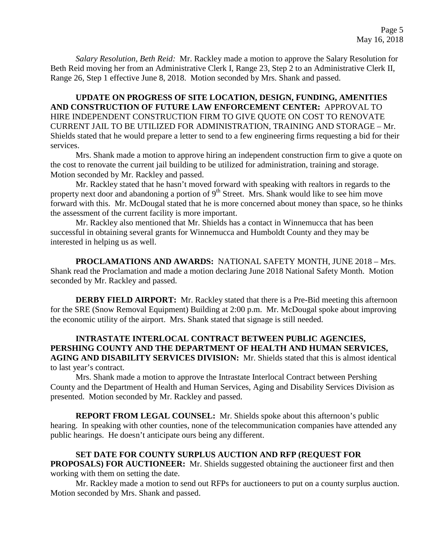*Salary Resolution, Beth Reid:* Mr. Rackley made a motion to approve the Salary Resolution for Beth Reid moving her from an Administrative Clerk I, Range 23, Step 2 to an Administrative Clerk II, Range 26, Step 1 effective June 8, 2018. Motion seconded by Mrs. Shank and passed.

**UPDATE ON PROGRESS OF SITE LOCATION, DESIGN, FUNDING, AMENITIES AND CONSTRUCTION OF FUTURE LAW ENFORCEMENT CENTER:** APPROVAL TO HIRE INDEPENDENT CONSTRUCTION FIRM TO GIVE QUOTE ON COST TO RENOVATE CURRENT JAIL TO BE UTILIZED FOR ADMINISTRATION, TRAINING AND STORAGE – Mr. Shields stated that he would prepare a letter to send to a few engineering firms requesting a bid for their services.

Mrs. Shank made a motion to approve hiring an independent construction firm to give a quote on the cost to renovate the current jail building to be utilized for administration, training and storage. Motion seconded by Mr. Rackley and passed.

 Mr. Rackley stated that he hasn't moved forward with speaking with realtors in regards to the property next door and abandoning a portion of 9<sup>th</sup> Street. Mrs. Shank would like to see him move forward with this. Mr. McDougal stated that he is more concerned about money than space, so he thinks the assessment of the current facility is more important.

Mr. Rackley also mentioned that Mr. Shields has a contact in Winnemucca that has been successful in obtaining several grants for Winnemucca and Humboldt County and they may be interested in helping us as well.

**PROCLAMATIONS AND AWARDS:** NATIONAL SAFETY MONTH, JUNE 2018 – Mrs. Shank read the Proclamation and made a motion declaring June 2018 National Safety Month. Motion seconded by Mr. Rackley and passed.

**DERBY FIELD AIRPORT:** Mr. Rackley stated that there is a Pre-Bid meeting this afternoon for the SRE (Snow Removal Equipment) Building at 2:00 p.m. Mr. McDougal spoke about improving the economic utility of the airport. Mrs. Shank stated that signage is still needed.

# **INTRASTATE INTERLOCAL CONTRACT BETWEEN PUBLIC AGENCIES, PERSHING COUNTY AND THE DEPARTMENT OF HEALTH AND HUMAN SERVICES, AGING AND DISABILITY SERVICES DIVISION:** Mr. Shields stated that this is almost identical to last year's contract.

Mrs. Shank made a motion to approve the Intrastate Interlocal Contract between Pershing County and the Department of Health and Human Services, Aging and Disability Services Division as presented. Motion seconded by Mr. Rackley and passed.

**REPORT FROM LEGAL COUNSEL:** Mr. Shields spoke about this afternoon's public hearing. In speaking with other counties, none of the telecommunication companies have attended any public hearings. He doesn't anticipate ours being any different.

**SET DATE FOR COUNTY SURPLUS AUCTION AND RFP (REQUEST FOR PROPOSALS) FOR AUCTIONEER:** Mr. Shields suggested obtaining the auctioneer first and then working with them on setting the date.

Mr. Rackley made a motion to send out RFPs for auctioneers to put on a county surplus auction. Motion seconded by Mrs. Shank and passed.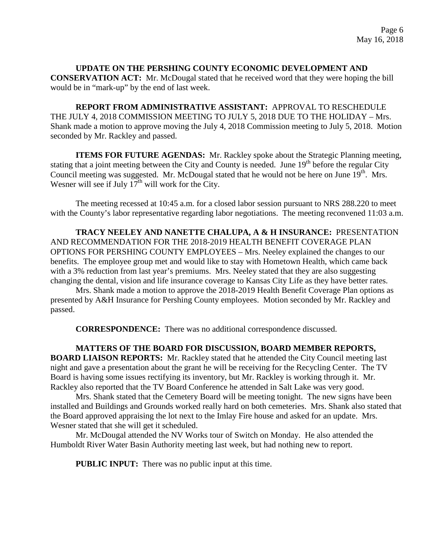## **UPDATE ON THE PERSHING COUNTY ECONOMIC DEVELOPMENT AND CONSERVATION ACT:** Mr. McDougal stated that he received word that they were hoping the bill would be in "mark-up" by the end of last week.

**REPORT FROM ADMINISTRATIVE ASSISTANT:** APPROVAL TO RESCHEDULE THE JULY 4, 2018 COMMISSION MEETING TO JULY 5, 2018 DUE TO THE HOLIDAY – Mrs. Shank made a motion to approve moving the July 4, 2018 Commission meeting to July 5, 2018. Motion seconded by Mr. Rackley and passed.

**ITEMS FOR FUTURE AGENDAS:** Mr. Rackley spoke about the Strategic Planning meeting, stating that a joint meeting between the City and County is needed. June 19<sup>th</sup> before the regular City Council meeting was suggested. Mr. McDougal stated that he would not be here on June 19<sup>th</sup>. Mrs. Wesner will see if July  $17<sup>th</sup>$  will work for the City.

The meeting recessed at 10:45 a.m. for a closed labor session pursuant to NRS 288.220 to meet with the County's labor representative regarding labor negotiations. The meeting reconvened 11:03 a.m.

**TRACY NEELEY AND NANETTE CHALUPA, A & H INSURANCE:** PRESENTATION AND RECOMMENDATION FOR THE 2018-2019 HEALTH BENEFIT COVERAGE PLAN OPTIONS FOR PERSHING COUNTY EMPLOYEES – Mrs. Neeley explained the changes to our benefits. The employee group met and would like to stay with Hometown Health, which came back with a 3% reduction from last year's premiums. Mrs. Neeley stated that they are also suggesting changing the dental, vision and life insurance coverage to Kansas City Life as they have better rates.

Mrs. Shank made a motion to approve the 2018-2019 Health Benefit Coverage Plan options as presented by A&H Insurance for Pershing County employees. Motion seconded by Mr. Rackley and passed.

**CORRESPONDENCE:** There was no additional correspondence discussed.

**MATTERS OF THE BOARD FOR DISCUSSION, BOARD MEMBER REPORTS, BOARD LIAISON REPORTS:** Mr. Rackley stated that he attended the City Council meeting last night and gave a presentation about the grant he will be receiving for the Recycling Center. The TV Board is having some issues rectifying its inventory, but Mr. Rackley is working through it. Mr. Rackley also reported that the TV Board Conference he attended in Salt Lake was very good.

Mrs. Shank stated that the Cemetery Board will be meeting tonight. The new signs have been installed and Buildings and Grounds worked really hard on both cemeteries. Mrs. Shank also stated that the Board approved appraising the lot next to the Imlay Fire house and asked for an update. Mrs. Wesner stated that she will get it scheduled.

Mr. McDougal attended the NV Works tour of Switch on Monday. He also attended the Humboldt River Water Basin Authority meeting last week, but had nothing new to report.

**PUBLIC INPUT:** There was no public input at this time.